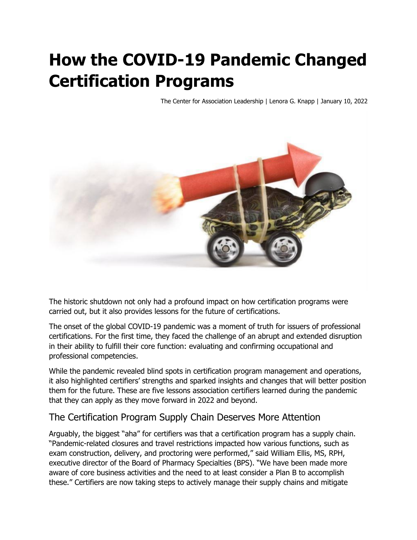# **How the COVID-19 Pandemic Changed Certification Programs**

The Center for Association Leadership | Lenora G. Knapp | January 10, 2022



The historic shutdown not only had a profound impact on how certification programs were carried out, but it also provides lessons for the future of certifications.

The onset of the global COVID-19 pandemic was a moment of truth for issuers of professional certifications. For the first time, they faced the challenge of an abrupt and extended disruption in their ability to fulfill their core function: evaluating and confirming occupational and professional competencies.

While the pandemic revealed blind spots in certification program management and operations, it also highlighted certifiers' strengths and sparked insights and changes that will better position them for the future. These are five lessons association certifiers learned during the pandemic that they can apply as they move forward in 2022 and beyond.

### The Certification Program Supply Chain Deserves More Attention

Arguably, the biggest "aha" for certifiers was that a certification program has a supply chain. "Pandemic-related closures and travel restrictions impacted how various functions, such as exam construction, delivery, and proctoring were performed," said William Ellis, MS, RPH, executive director of the Board of Pharmacy Specialties (BPS). "We have been made more aware of core business activities and the need to at least consider a Plan B to accomplish these." Certifiers are now taking steps to actively manage their supply chains and mitigate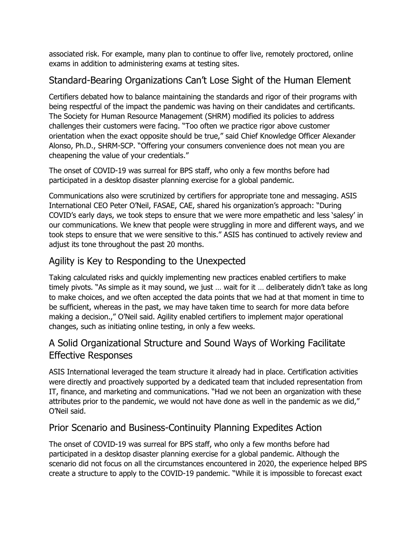associated risk. For example, many plan to continue to offer live, remotely proctored, online exams in addition to administering exams at testing sites.

# Standard-Bearing Organizations Can't Lose Sight of the Human Element

Certifiers debated how to balance maintaining the standards and rigor of their programs with being respectful of the impact the pandemic was having on their candidates and certificants. The Society for Human Resource Management (SHRM) modified its policies to address challenges their customers were facing. "Too often we practice rigor above customer orientation when the exact opposite should be true," said Chief Knowledge Officer Alexander Alonso, Ph.D., SHRM-SCP. "Offering your consumers convenience does not mean you are cheapening the value of your credentials."

The onset of COVID-19 was surreal for BPS staff, who only a few months before had participated in a desktop disaster planning exercise for a global pandemic.

Communications also were scrutinized by certifiers for appropriate tone and messaging. ASIS International CEO Peter O'Neil, FASAE, CAE, shared his organization's approach: "During COVID's early days, we took steps to ensure that we were more empathetic and less 'salesy' in our communications. We knew that people were struggling in more and different ways, and we took steps to ensure that we were sensitive to this." ASIS has continued to actively review and adjust its tone throughout the past 20 months.

## Agility is Key to Responding to the Unexpected

Taking calculated risks and quickly implementing new practices enabled certifiers to make timely pivots. "As simple as it may sound, we just … wait for it … deliberately didn't take as long to make choices, and we often accepted the data points that we had at that moment in time to be sufficient, whereas in the past, we may have taken time to search for more data before making a decision.," O'Neil said. Agility enabled certifiers to implement major operational changes, such as initiating online testing, in only a few weeks.

### A Solid Organizational Structure and Sound Ways of Working Facilitate Effective Responses

ASIS International leveraged the team structure it already had in place. Certification activities were directly and proactively supported by a dedicated team that included representation from IT, finance, and marketing and communications. "Had we not been an organization with these attributes prior to the pandemic, we would not have done as well in the pandemic as we did," O'Neil said.

#### Prior Scenario and Business-Continuity Planning Expedites Action

The onset of COVID-19 was surreal for BPS staff, who only a few months before had participated in a desktop disaster planning exercise for a global pandemic. Although the scenario did not focus on all the circumstances encountered in 2020, the experience helped BPS create a structure to apply to the COVID-19 pandemic. "While it is impossible to forecast exact